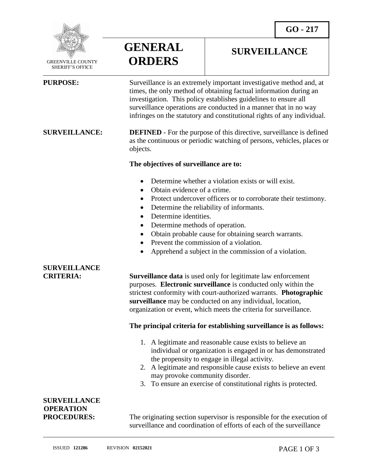**SURVEILLANCE**



 GREENVILLE COUNTY SHERIFF'S OFFICE

 $\overline{a}$ 

**GENERAL ORDERS**

### **PURPOSE:** Surveillance is an extremely important investigative method and, at times, the only method of obtaining factual information during an investigation. This policy establishes guidelines to ensure all surveillance operations are conducted in a manner that in no way infringes on the statutory and constitutional rights of any individual.

**SURVEILLANCE: DEFINED** - For the purpose of this directive, surveillance is defined as the continuous or periodic watching of persons, vehicles, places or objects.

### **The objectives of surveillance are to:**

- Determine whether a violation exists or will exist.
- Obtain evidence of a crime.
- Protect undercover officers or to corroborate their testimony.
- Determine the reliability of informants.
- Determine identities.
- Determine methods of operation.
- Obtain probable cause for obtaining search warrants.
- Prevent the commission of a violation.
- Apprehend a subject in the commission of a violation.

# **SURVEILLANCE**

**CRITERIA: Surveillance data** is used only for legitimate law enforcement purposes. **Electronic surveillance** is conducted only within the strictest conformity with court-authorized warrants. **Photographic surveillance** may be conducted on any individual, location, organization or event, which meets the criteria for surveillance.

### **The principal criteria for establishing surveillance is as follows:**

- 1. A legitimate and reasonable cause exists to believe an individual or organization is engaged in or has demonstrated the propensity to engage in illegal activity.
- 2. A legitimate and responsible cause exists to believe an event may provoke community disorder.
- 3. To ensure an exercise of constitutional rights is protected.

## **SURVEILLANCE OPERATION**

**PROCEDURES:** The originating section supervisor is responsible for the execution of surveillance and coordination of efforts of each of the surveillance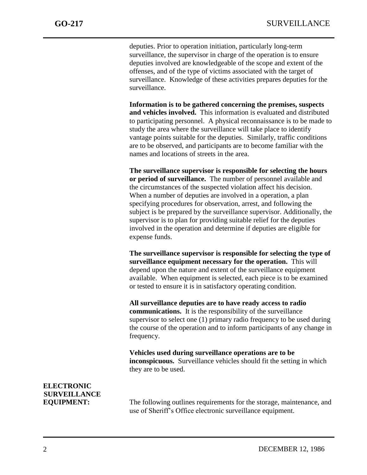j

deputies. Prior to operation initiation, particularly long-term surveillance, the supervisor in charge of the operation is to ensure deputies involved are knowledgeable of the scope and extent of the offenses, and of the type of victims associated with the target of surveillance. Knowledge of these activities prepares deputies for the surveillance.

**Information is to be gathered concerning the premises, suspects and vehicles involved.** This information is evaluated and distributed to participating personnel. A physical reconnaissance is to be made to study the area where the surveillance will take place to identify vantage points suitable for the deputies. Similarly, traffic conditions are to be observed, and participants are to become familiar with the names and locations of streets in the area.

**The surveillance supervisor is responsible for selecting the hours or period of surveillance.** The number of personnel available and the circumstances of the suspected violation affect his decision. When a number of deputies are involved in a operation, a plan specifying procedures for observation, arrest, and following the subject is be prepared by the surveillance supervisor. Additionally, the supervisor is to plan for providing suitable relief for the deputies involved in the operation and determine if deputies are eligible for expense funds.

**The surveillance supervisor is responsible for selecting the type of surveillance equipment necessary for the operation.** This will depend upon the nature and extent of the surveillance equipment available. When equipment is selected, each piece is to be examined or tested to ensure it is in satisfactory operating condition.

**All surveillance deputies are to have ready access to radio communications.** It is the responsibility of the surveillance supervisor to select one (1) primary radio frequency to be used during the course of the operation and to inform participants of any change in frequency.

**Vehicles used during surveillance operations are to be inconspicuous.** Surveillance vehicles should fit the setting in which they are to be used.

# **ELECTRONIC SURVEILLANCE**

**EQUIPMENT:** The following outlines requirements for the storage, maintenance, and use of Sheriff's Office electronic surveillance equipment.